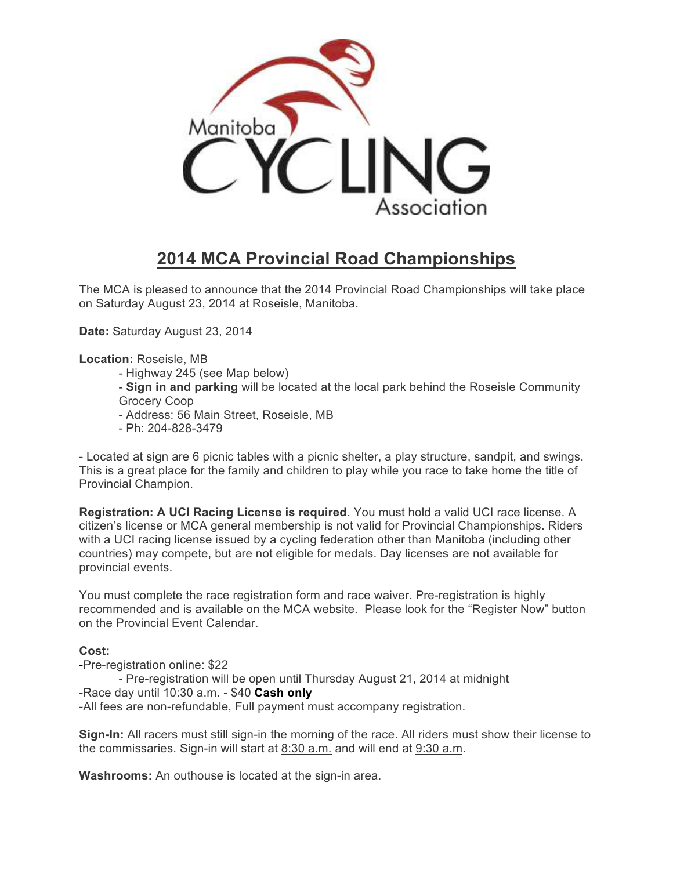

# **2014 MCA Provincial Road Championships**

The MCA is pleased to announce that the 2014 Provincial Road Championships will take place on Saturday August 23, 2014 at Roseisle, Manitoba.

**Date:** Saturday August 23, 2014

**Location:** Roseisle, MB

- Highway 245 (see Map below)
- **Sign in and parking** will be located at the local park behind the Roseisle Community Grocery Coop
- Address: 56 Main Street, Roseisle, MB
- Ph: 204-828-3479

- Located at sign are 6 picnic tables with a picnic shelter, a play structure, sandpit, and swings. This is a great place for the family and children to play while you race to take home the title of Provincial Champion.

**Registration: A UCI Racing License is required**. You must hold a valid UCI race license. A citizen's license or MCA general membership is not valid for Provincial Championships. Riders with a UCI racing license issued by a cycling federation other than Manitoba (including other countries) may compete, but are not eligible for medals. Day licenses are not available for provincial events.

You must complete the race registration form and race waiver. Pre-registration is highly recommended and is available on the MCA website. Please look for the "Register Now" button on the Provincial Event Calendar.

### **Cost:**

-Pre-registration online: \$22

- Pre-registration will be open until Thursday August 21, 2014 at midnight -Race day until 10:30 a.m. - \$40 **Cash only**

-All fees are non-refundable, Full payment must accompany registration.

**Sign-In:** All racers must still sign-in the morning of the race. All riders must show their license to the commissaries. Sign-in will start at 8:30 a.m. and will end at 9:30 a.m.

**Washrooms:** An outhouse is located at the sign-in area.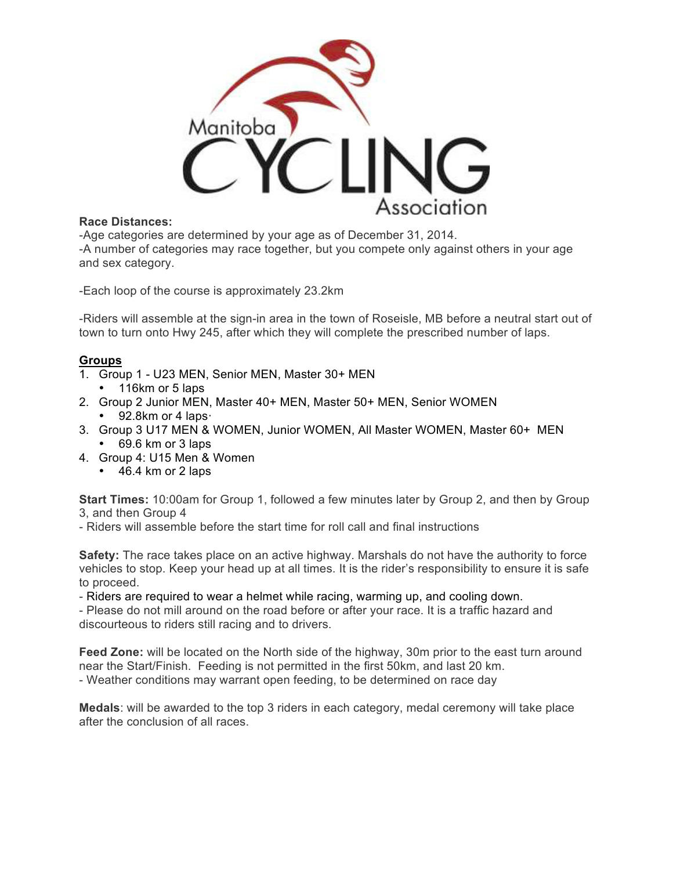

### **Race Distances:**

-Age categories are determined by your age as of December 31, 2014. -A number of categories may race together, but you compete only against others in your age and sex category.

-Each loop of the course is approximately 23.2km

-Riders will assemble at the sign-in area in the town of Roseisle, MB before a neutral start out of town to turn onto Hwy 245, after which they will complete the prescribed number of laps.

### **Groups**

- 1. Group 1 U23 MEN, Senior MEN, Master 30+ MEN
	- 116km or 5 laps
- 2. Group 2 Junior MEN, Master 40+ MEN, Master 50+ MEN, Senior WOMEN • 92.8km or 4 laps·
- 3. Group 3 U17 MEN & WOMEN, Junior WOMEN, All Master WOMEN, Master 60+ MEN • 69.6 km or 3 laps
- 4. Group 4: U15 Men & Women
	- 46.4 km or 2 laps

**Start Times:** 10:00am for Group 1, followed a few minutes later by Group 2, and then by Group 3, and then Group 4

- Riders will assemble before the start time for roll call and final instructions

**Safety:** The race takes place on an active highway. Marshals do not have the authority to force vehicles to stop. Keep your head up at all times. It is the rider's responsibility to ensure it is safe to proceed.

- Riders are required to wear a helmet while racing, warming up, and cooling down.

- Please do not mill around on the road before or after your race. It is a traffic hazard and discourteous to riders still racing and to drivers.

**Feed Zone:** will be located on the North side of the highway, 30m prior to the east turn around near the Start/Finish. Feeding is not permitted in the first 50km, and last 20 km. - Weather conditions may warrant open feeding, to be determined on race day

**Medals**: will be awarded to the top 3 riders in each category, medal ceremony will take place after the conclusion of all races.